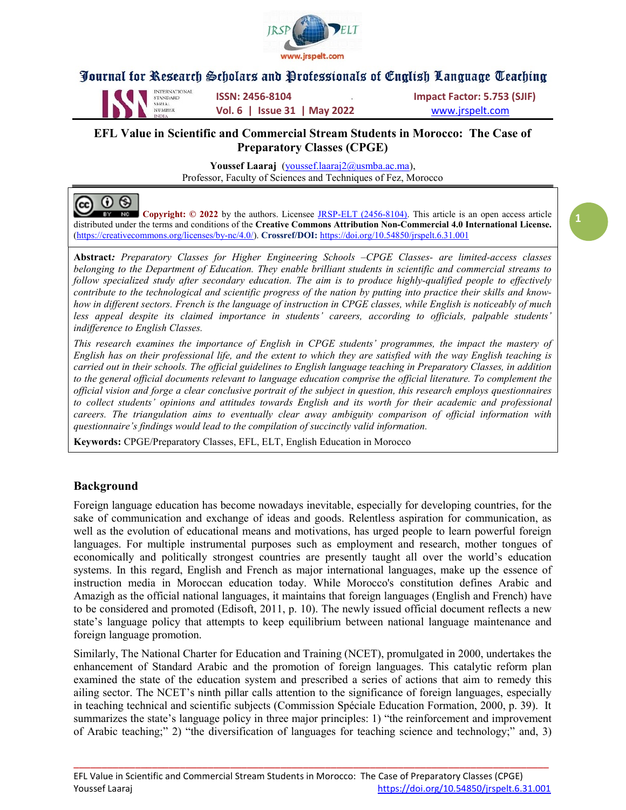



 $\odot$ 

INTERNATIONAL **ISSN: 2456-8104 ISSN:** 1987 **Impact Factor: 5.753 (SJIF)** NUMBER **Vol. 6 | Issue 31 | May 2022** WWW.jrspelt.com

#### EFL Value in Scientific and Commercial Stream Students in Morocco: The Case of Preparatory Classes (CPGE)

Youssef Laaraj (youssef.laaraj2@usmba.ac.ma), Professor, Faculty of Sciences and Techniques of Fez, Morocco

 $^{\copyright}$ Copyright: © 2022 by the authors. Licensee JRSP-ELT (2456-8104). This article is an open access article  $NC$ distributed under the terms and conditions of the Creative Commons Attribution Non-Commercial 4.0 International License. (https://creativecommons.org/licenses/by-nc/4.0/). Crossref/DOI: https://doi.org/10.54850/jrspelt.6.31.001

Abstract: Preparatory Classes for Higher Engineering Schools –CPGE Classes- are limited-access classes belonging to the Department of Education. They enable brilliant students in scientific and commercial streams to follow specialized study after secondary education. The aim is to produce highly-qualified people to effectively contribute to the technological and scientific progress of the nation by putting into practice their skills and knowhow in different sectors. French is the language of instruction in CPGE classes, while English is noticeably of much less appeal despite its claimed importance in students' careers, according to officials, palpable students' indifference to English Classes.

This research examines the importance of English in CPGE students' programmes, the impact the mastery of English has on their professional life, and the extent to which they are satisfied with the way English teaching is carried out in their schools. The official guidelines to English language teaching in Preparatory Classes, in addition to the general official documents relevant to language education comprise the official literature. To complement the official vision and forge a clear conclusive portrait of the subject in question, this research employs questionnaires to collect students' opinions and attitudes towards English and its worth for their academic and professional careers. The triangulation aims to eventually clear away ambiguity comparison of official information with questionnaire's findings would lead to the compilation of succinctly valid information.

Keywords: CPGE/Preparatory Classes, EFL, ELT, English Education in Morocco

#### Background

Foreign language education has become nowadays inevitable, especially for developing countries, for the sake of communication and exchange of ideas and goods. Relentless aspiration for communication, as well as the evolution of educational means and motivations, has urged people to learn powerful foreign languages. For multiple instrumental purposes such as employment and research, mother tongues of economically and politically strongest countries are presently taught all over the world's education systems. In this regard, English and French as major international languages, make up the essence of instruction media in Moroccan education today. While Morocco's constitution defines Arabic and Amazigh as the official national languages, it maintains that foreign languages (English and French) have to be considered and promoted (Edisoft, 2011, p. 10). The newly issued official document reflects a new state's language policy that attempts to keep equilibrium between national language maintenance and foreign language promotion.

Similarly, The National Charter for Education and Training (NCET), promulgated in 2000, undertakes the enhancement of Standard Arabic and the promotion of foreign languages. This catalytic reform plan examined the state of the education system and prescribed a series of actions that aim to remedy this ailing sector. The NCET's ninth pillar calls attention to the significance of foreign languages, especially in teaching technical and scientific subjects (Commission Spéciale Education Formation, 2000, p. 39). It summarizes the state's language policy in three major principles: 1) "the reinforcement and improvement of Arabic teaching;" 2) "the diversification of languages for teaching science and technology;" and, 3)

\_\_\_\_\_\_\_\_\_\_\_\_\_\_\_\_\_\_\_\_\_\_\_\_\_\_\_\_\_\_\_\_\_\_\_\_\_\_\_\_\_\_\_\_\_\_\_\_\_\_\_\_\_\_\_\_\_\_\_\_\_\_\_\_\_\_\_\_\_\_\_\_\_\_\_\_\_\_\_\_\_\_\_\_\_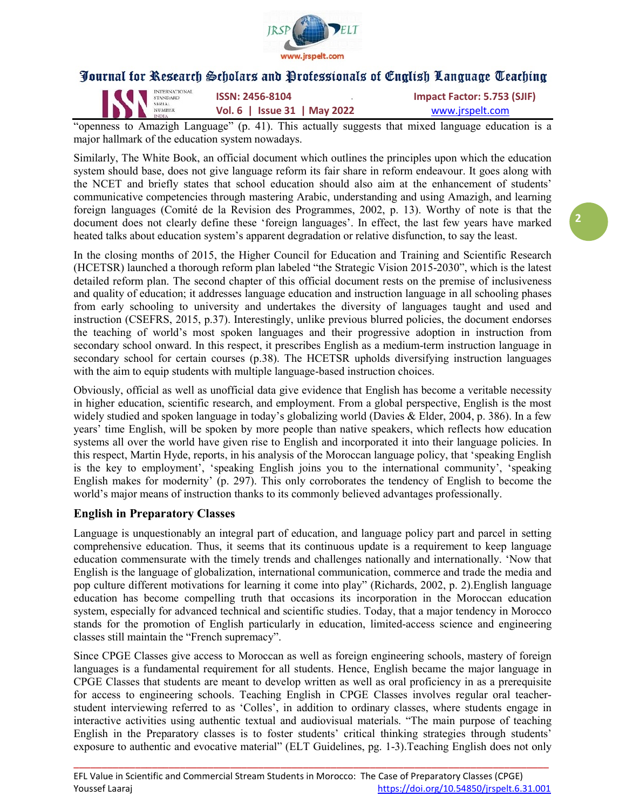

| IN STANDARD | <b>INTERNATIONAL</b> | <b>ISSN: 2456-8104</b>       | Impact Factor: 5.753 (SJIF) |
|-------------|----------------------|------------------------------|-----------------------------|
|             | <b>INDIA</b>         | Vol. 6   Issue 31   May 2022 | www.jrspelt.com             |

"openness to Amazigh Language" (p. 41). This actually suggests that mixed language education is a major hallmark of the education system nowadays.

Similarly, The White Book, an official document which outlines the principles upon which the education system should base, does not give language reform its fair share in reform endeavour. It goes along with the NCET and briefly states that school education should also aim at the enhancement of students' communicative competencies through mastering Arabic, understanding and using Amazigh, and learning foreign languages (Comité de la Revision des Programmes, 2002, p. 13). Worthy of note is that the document does not clearly define these 'foreign languages'. In effect, the last few years have marked heated talks about education system's apparent degradation or relative disfunction, to say the least.

In the closing months of 2015, the Higher Council for Education and Training and Scientific Research (HCETSR) launched a thorough reform plan labeled "the Strategic Vision 2015-2030", which is the latest detailed reform plan. The second chapter of this official document rests on the premise of inclusiveness and quality of education; it addresses language education and instruction language in all schooling phases from early schooling to university and undertakes the diversity of languages taught and used and instruction (CSEFRS, 2015, p.37). Interestingly, unlike previous blurred policies, the document endorses the teaching of world's most spoken languages and their progressive adoption in instruction from secondary school onward. In this respect, it prescribes English as a medium-term instruction language in secondary school for certain courses (p.38). The HCETSR upholds diversifying instruction languages with the aim to equip students with multiple language-based instruction choices.

Obviously, official as well as unofficial data give evidence that English has become a veritable necessity in higher education, scientific research, and employment. From a global perspective, English is the most widely studied and spoken language in today's globalizing world (Davies & Elder, 2004, p. 386). In a few years' time English, will be spoken by more people than native speakers, which reflects how education systems all over the world have given rise to English and incorporated it into their language policies. In this respect, Martin Hyde, reports, in his analysis of the Moroccan language policy, that 'speaking English is the key to employment', 'speaking English joins you to the international community', 'speaking English makes for modernity' (p. 297). This only corroborates the tendency of English to become the world's major means of instruction thanks to its commonly believed advantages professionally.

### English in Preparatory Classes

Language is unquestionably an integral part of education, and language policy part and parcel in setting comprehensive education. Thus, it seems that its continuous update is a requirement to keep language education commensurate with the timely trends and challenges nationally and internationally. 'Now that English is the language of globalization, international communication, commerce and trade the media and pop culture different motivations for learning it come into play" (Richards, 2002, p. 2).English language education has become compelling truth that occasions its incorporation in the Moroccan education system, especially for advanced technical and scientific studies. Today, that a major tendency in Morocco stands for the promotion of English particularly in education, limited-access science and engineering classes still maintain the "French supremacy".

Since CPGE Classes give access to Moroccan as well as foreign engineering schools, mastery of foreign languages is a fundamental requirement for all students. Hence, English became the major language in CPGE Classes that students are meant to develop written as well as oral proficiency in as a prerequisite for access to engineering schools. Teaching English in CPGE Classes involves regular oral teacherstudent interviewing referred to as 'Colles', in addition to ordinary classes, where students engage in interactive activities using authentic textual and audiovisual materials. "The main purpose of teaching English in the Preparatory classes is to foster students' critical thinking strategies through students' exposure to authentic and evocative material" (ELT Guidelines, pg. 1-3).Teaching English does not only

\_\_\_\_\_\_\_\_\_\_\_\_\_\_\_\_\_\_\_\_\_\_\_\_\_\_\_\_\_\_\_\_\_\_\_\_\_\_\_\_\_\_\_\_\_\_\_\_\_\_\_\_\_\_\_\_\_\_\_\_\_\_\_\_\_\_\_\_\_\_\_\_\_\_\_\_\_\_\_\_\_\_\_\_\_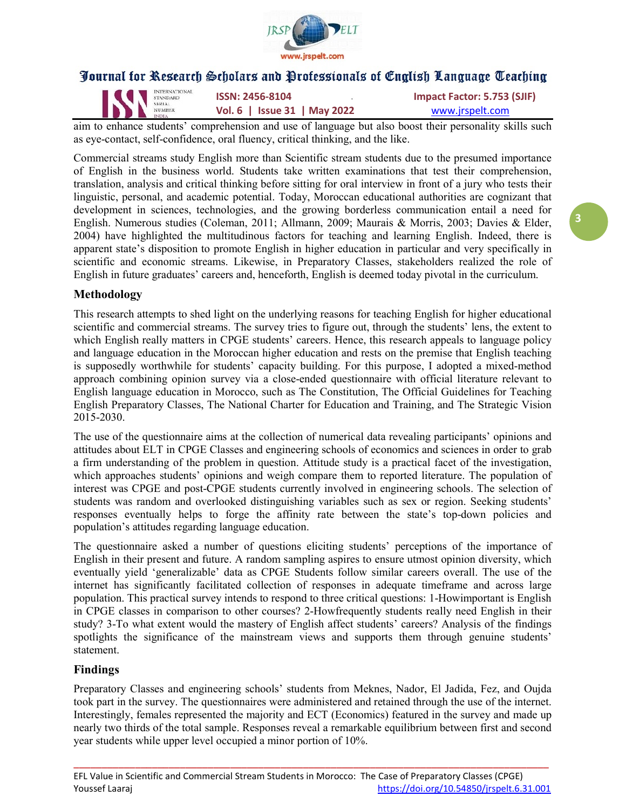

| INTERNATIO | <b>INTERNATIONAL</b> | <b>ISSN: 2456-8104</b>       | Impact Factor: 5.753 (SJIF) |
|------------|----------------------|------------------------------|-----------------------------|
|            | <b>INDIA</b>         | Vol. 6   Issue 31   May 2022 | www.jrspelt.com             |

aim to enhance students' comprehension and use of language but also boost their personality skills such as eye-contact, self-confidence, oral fluency, critical thinking, and the like.

Commercial streams study English more than Scientific stream students due to the presumed importance of English in the business world. Students take written examinations that test their comprehension, translation, analysis and critical thinking before sitting for oral interview in front of a jury who tests their linguistic, personal, and academic potential. Today, Moroccan educational authorities are cognizant that development in sciences, technologies, and the growing borderless communication entail a need for English. Numerous studies (Coleman, 2011; Allmann, 2009; Maurais & Morris, 2003; Davies & Elder, 2004) have highlighted the multitudinous factors for teaching and learning English. Indeed, there is apparent state's disposition to promote English in higher education in particular and very specifically in scientific and economic streams. Likewise, in Preparatory Classes, stakeholders realized the role of English in future graduates' careers and, henceforth, English is deemed today pivotal in the curriculum.

#### Methodology

This research attempts to shed light on the underlying reasons for teaching English for higher educational scientific and commercial streams. The survey tries to figure out, through the students' lens, the extent to which English really matters in CPGE students' careers. Hence, this research appeals to language policy and language education in the Moroccan higher education and rests on the premise that English teaching is supposedly worthwhile for students' capacity building. For this purpose, I adopted a mixed-method approach combining opinion survey via a close-ended questionnaire with official literature relevant to English language education in Morocco, such as The Constitution, The Official Guidelines for Teaching English Preparatory Classes, The National Charter for Education and Training, and The Strategic Vision 2015-2030.

The use of the questionnaire aims at the collection of numerical data revealing participants' opinions and attitudes about ELT in CPGE Classes and engineering schools of economics and sciences in order to grab a firm understanding of the problem in question. Attitude study is a practical facet of the investigation, which approaches students' opinions and weigh compare them to reported literature. The population of interest was CPGE and post-CPGE students currently involved in engineering schools. The selection of students was random and overlooked distinguishing variables such as sex or region. Seeking students' responses eventually helps to forge the affinity rate between the state's top-down policies and population's attitudes regarding language education.

The questionnaire asked a number of questions eliciting students' perceptions of the importance of English in their present and future. A random sampling aspires to ensure utmost opinion diversity, which eventually yield 'generalizable' data as CPGE Students follow similar careers overall. The use of the internet has significantly facilitated collection of responses in adequate timeframe and across large population. This practical survey intends to respond to three critical questions: 1-Howimportant is English in CPGE classes in comparison to other courses? 2-Howfrequently students really need English in their study? 3-To what extent would the mastery of English affect students' careers? Analysis of the findings spotlights the significance of the mainstream views and supports them through genuine students' statement.

#### Findings

Preparatory Classes and engineering schools' students from Meknes, Nador, El Jadida, Fez, and Oujda took part in the survey. The questionnaires were administered and retained through the use of the internet. Interestingly, females represented the majority and ECT (Economics) featured in the survey and made up nearly two thirds of the total sample. Responses reveal a remarkable equilibrium between first and second year students while upper level occupied a minor portion of 10%.

\_\_\_\_\_\_\_\_\_\_\_\_\_\_\_\_\_\_\_\_\_\_\_\_\_\_\_\_\_\_\_\_\_\_\_\_\_\_\_\_\_\_\_\_\_\_\_\_\_\_\_\_\_\_\_\_\_\_\_\_\_\_\_\_\_\_\_\_\_\_\_\_\_\_\_\_\_\_\_\_\_\_\_\_\_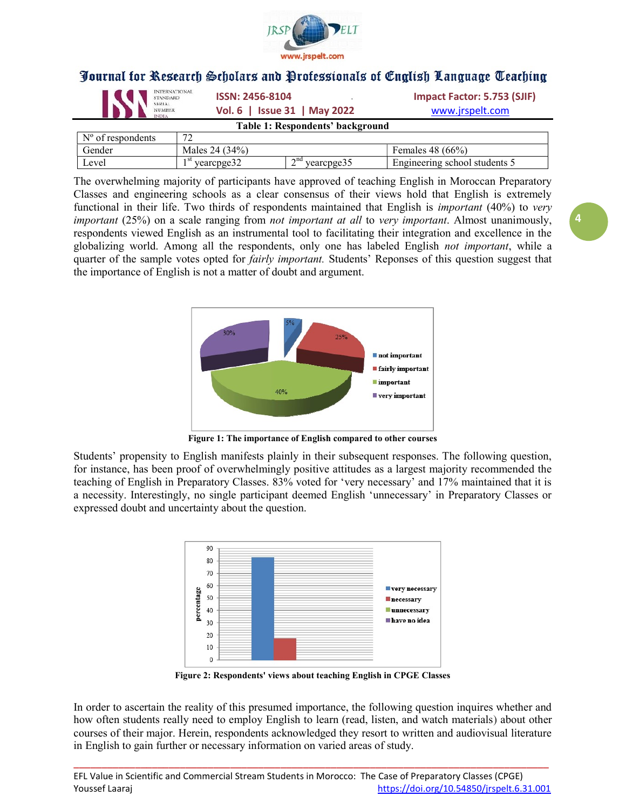

| <b>INTERNATIONAL</b><br>IS<br><b>STANDARD</b><br><b>SERIAL</b><br><b>NUMBER</b><br><b>NDIA</b> | <b>ISSN: 2456-8104</b><br>Vol. 6   Issue 31   May 2022 |                                  | Impact Factor: 5.753 (SJIF)<br>www.jrspelt.com |
|------------------------------------------------------------------------------------------------|--------------------------------------------------------|----------------------------------|------------------------------------------------|
|                                                                                                |                                                        | Table 1: Respondents' background |                                                |
| $N^{\circ}$ of respondents                                                                     | 72                                                     |                                  |                                                |

| VI IUSDUIKULIKS | -                        |                             |                                           |
|-----------------|--------------------------|-----------------------------|-------------------------------------------|
| . render        | $34\%$ .<br>) Д<br>Males |                             | $(66\%)$<br>48.<br><b>Females</b>         |
| Level           | vearcnoe<br>vedicu.      | $\cap$ na<br>vearcpges<br>- | $\mathbf -$<br>the ering school students. |

The overwhelming majority of participants have approved of teaching English in Moroccan Preparatory Classes and engineering schools as a clear consensus of their views hold that English is extremely functional in their life. Two thirds of respondents maintained that English is *important* (40%) to very *important*  $(25%)$  on a scale ranging from *not important at all to very important*. Almost unanimously, respondents viewed English as an instrumental tool to facilitating their integration and excellence in the globalizing world. Among all the respondents, only one has labeled English not important, while a quarter of the sample votes opted for *fairly important*. Students' Reponses of this question suggest that the importance of English is not a matter of doubt and argument.



Figure 1: The importance of English compared to other courses

Students' propensity to English manifests plainly in their subsequent responses. The following question, for instance, has been proof of overwhelmingly positive attitudes as a largest majority recommended the teaching of English in Preparatory Classes. 83% voted for 'very necessary' and 17% maintained that it is a necessity. Interestingly, no single participant deemed English 'unnecessary' in Preparatory Classes or expressed doubt and uncertainty about the question.



Figure 2: Respondents' views about teaching English in CPGE Classes

In order to ascertain the reality of this presumed importance, the following question inquires whether and how often students really need to employ English to learn (read, listen, and watch materials) about other courses of their major. Herein, respondents acknowledged they resort to written and audiovisual literature in English to gain further or necessary information on varied areas of study.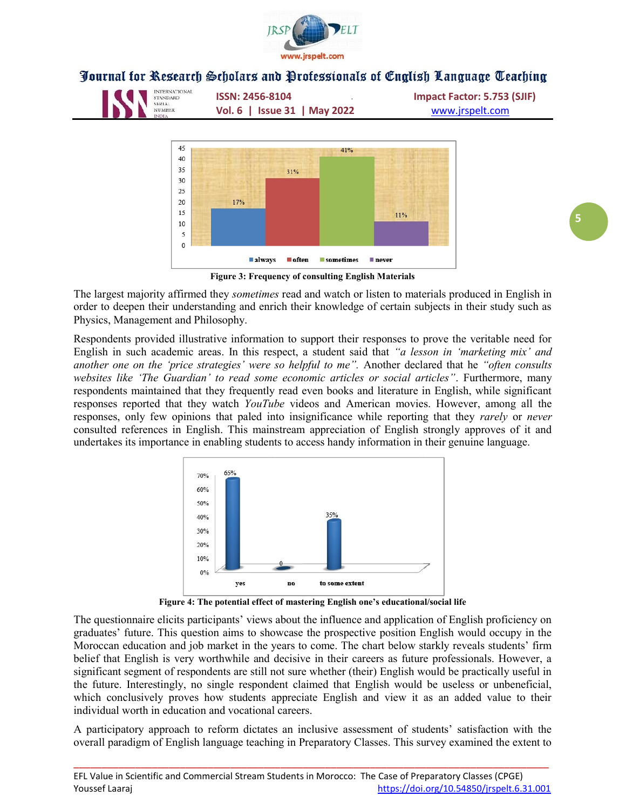





Figure 3: Frequency of consulting English Materials

The largest majority affirmed they *sometimes* read and watch or listen to materials produced in English in order to deepen their understanding and enrich their knowledge of certain subjects in their study such as Physics, Management and Philosophy.

Respondents provided illustrative information to support their responses to prove the veritable need for English in such academic areas. In this respect, a student said that "a lesson in 'marketing mix' and another one on the 'price strategies' were so helpful to me". Another declared that he "often consults websites like 'The Guardian' to read some economic articles or social articles". Furthermore, many respondents maintained that they frequently read even books and literature in English, while significant responses reported that they watch YouTube videos and American movies. However, among all the responses, only few opinions that paled into insignificance while reporting that they rarely or never consulted references in English. This mainstream appreciation of English strongly approves of it and undertakes its importance in enabling students to access handy information in their genuine language.



Figure 4: The potential effect of mastering English one's educational/social life

The questionnaire elicits participants' views about the influence and application of English proficiency on graduates' future. This question aims to showcase the prospective position English would occupy in the Moroccan education and job market in the years to come. The chart below starkly reveals students' firm belief that English is very worthwhile and decisive in their careers as future professionals. However, a significant segment of respondents are still not sure whether (their) English would be practically useful in the future. Interestingly, no single respondent claimed that English would be useless or unbeneficial, which conclusively proves how students appreciate English and view it as an added value to their individual worth in education and vocational careers.

A participatory approach to reform dictates an inclusive assessment of students' satisfaction with the overall paradigm of English language teaching in Preparatory Classes. This survey examined the extent to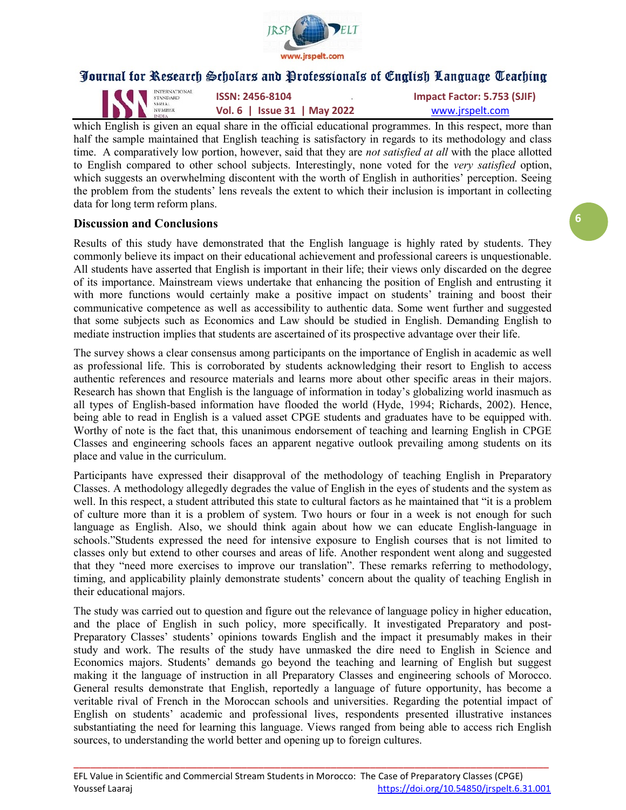

INTERNATIONAL **ISSN: 2456-8104 Impact Factor: 5.753 (SJIF)**<br>
Impact Factor: 5.753 (SJIF)<br>
NAMAL ISSN: 2456-8104 **IMPACT ACTOR: 1998** Vol. 6 | Issue 31 | May 2022 WWW.jrspelt.com

which English is given an equal share in the official educational programmes. In this respect, more than half the sample maintained that English teaching is satisfactory in regards to its methodology and class time. A comparatively low portion, however, said that they are not satisfied at all with the place allotted to English compared to other school subjects. Interestingly, none voted for the very satisfied option, which suggests an overwhelming discontent with the worth of English in authorities' perception. Seeing the problem from the students' lens reveals the extent to which their inclusion is important in collecting data for long term reform plans.

#### Discussion and Conclusions

Results of this study have demonstrated that the English language is highly rated by students. They commonly believe its impact on their educational achievement and professional careers is unquestionable. All students have asserted that English is important in their life; their views only discarded on the degree of its importance. Mainstream views undertake that enhancing the position of English and entrusting it with more functions would certainly make a positive impact on students' training and boost their communicative competence as well as accessibility to authentic data. Some went further and suggested that some subjects such as Economics and Law should be studied in English. Demanding English to mediate instruction implies that students are ascertained of its prospective advantage over their life.

The survey shows a clear consensus among participants on the importance of English in academic as well as professional life. This is corroborated by students acknowledging their resort to English to access authentic references and resource materials and learns more about other specific areas in their majors. Research has shown that English is the language of information in today's globalizing world inasmuch as all types of English-based information have flooded the world (Hyde, 1994; Richards, 2002). Hence, being able to read in English is a valued asset CPGE students and graduates have to be equipped with. Worthy of note is the fact that, this unanimous endorsement of teaching and learning English in CPGE Classes and engineering schools faces an apparent negative outlook prevailing among students on its place and value in the curriculum.

Participants have expressed their disapproval of the methodology of teaching English in Preparatory Classes. A methodology allegedly degrades the value of English in the eyes of students and the system as well. In this respect, a student attributed this state to cultural factors as he maintained that "it is a problem of culture more than it is a problem of system. Two hours or four in a week is not enough for such language as English. Also, we should think again about how we can educate English-language in schools."Students expressed the need for intensive exposure to English courses that is not limited to classes only but extend to other courses and areas of life. Another respondent went along and suggested that they "need more exercises to improve our translation". These remarks referring to methodology, timing, and applicability plainly demonstrate students' concern about the quality of teaching English in their educational majors.

The study was carried out to question and figure out the relevance of language policy in higher education, and the place of English in such policy, more specifically. It investigated Preparatory and post-Preparatory Classes' students' opinions towards English and the impact it presumably makes in their study and work. The results of the study have unmasked the dire need to English in Science and Economics majors. Students' demands go beyond the teaching and learning of English but suggest making it the language of instruction in all Preparatory Classes and engineering schools of Morocco. General results demonstrate that English, reportedly a language of future opportunity, has become a veritable rival of French in the Moroccan schools and universities. Regarding the potential impact of English on students' academic and professional lives, respondents presented illustrative instances substantiating the need for learning this language. Views ranged from being able to access rich English sources, to understanding the world better and opening up to foreign cultures.